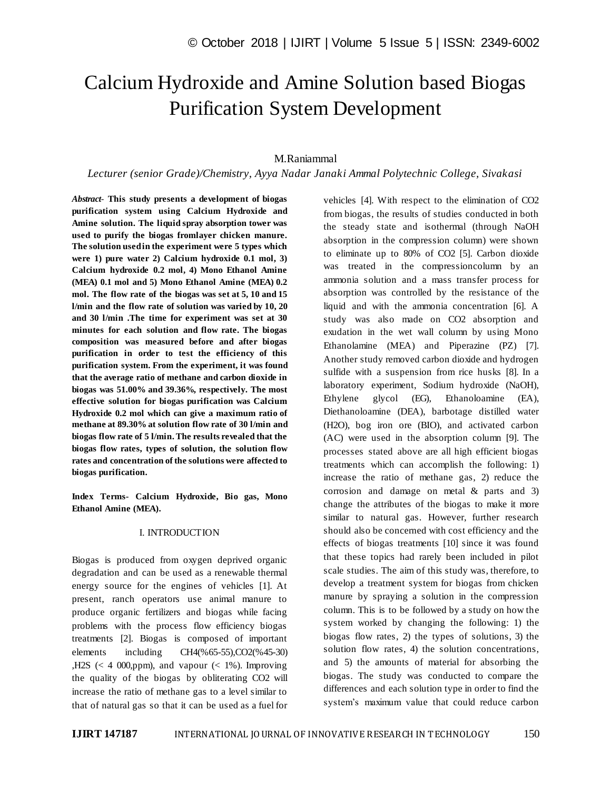# Calcium Hydroxide and Amine Solution based Biogas Purification System Development

## M.Raniammal

#### *Lecturer (senior Grade)/Chemistry, Ayya Nadar Janaki Ammal Polytechnic College, Sivakasi*

*Abstract*- **This study presents a development of biogas purification system using Calcium Hydroxide and Amine solution. The liquid spray absorption tower was used to purify the biogas fromlayer chicken manure. The solution used in the experiment were 5 types which were 1) pure water 2) Calcium hydroxide 0.1 mol, 3) Calcium hydroxide 0.2 mol, 4) Mono Ethanol Amine (MEA) 0.1 mol and 5) Mono Ethanol Amine (MEA) 0.2 mol. The flow rate of the biogas was set at 5, 10 and 15 l/min and the flow rate of solution was varied by 10, 20 and 30 l/min .The time for experiment was set at 30 minutes for each solution and flow rate. The biogas composition was measured before and after biogas purification in order to test the efficiency of this purification system. From the experiment, it was found that the average ratio of methane and carbon dioxide in biogas was 51.00% and 39.36%, respectively. The most effective solution for biogas purification was Calcium Hydroxide 0.2 mol which can give a maximum ratio of methane at 89.30% at solution flow rate of 30 l/min and biogas flow rate of 5 l/min. The results revealed that the biogas flow rates, types of solution, the solution flow rates and concentration of the solutions were affected to biogas purification.**

**Index Terms- Calcium Hydroxide, Bio gas, Mono Ethanol Amine (MEA).**

#### I. INTRODUCTION

Biogas is produced from oxygen deprived organic degradation and can be used as a renewable thermal energy source for the engines of vehicles [1]. At present, ranch operators use animal manure to produce organic fertilizers and biogas while facing problems with the process flow efficiency biogas treatments [2]. Biogas is composed of important elements including CH4(%65-55),CO2(%45-30) ,H2S ( $\lt$  4 000,ppm), and vapour ( $\lt$  1%). Improving the quality of the biogas by obliterating CO2 will increase the ratio of methane gas to a level similar to that of natural gas so that it can be used as a fuel for vehicles [4]. With respect to the elimination of CO2 from biogas, the results of studies conducted in both the steady state and isothermal (through NaOH absorption in the compression column) were shown to eliminate up to 80% of CO2 [5]. Carbon dioxide was treated in the compressioncolumn by an ammonia solution and a mass transfer process for absorption was controlled by the resistance of the liquid and with the ammonia concentration [6]. A study was also made on CO2 absorption and exudation in the wet wall column by using Mono Ethanolamine (MEA) and Piperazine (PZ) [7]. Another study removed carbon dioxide and hydrogen sulfide with a suspension from rice husks [8]. In a laboratory experiment, Sodium hydroxide (NaOH), Ethylene glycol (EG), Ethanoloamine (EA), Diethanoloamine (DEA), barbotage distilled water (H2O), bog iron ore (BIO), and activated carbon (AC) were used in the absorption column [9]. The processes stated above are all high efficient biogas treatments which can accomplish the following: 1) increase the ratio of methane gas, 2) reduce the corrosion and damage on metal & parts and 3) change the attributes of the biogas to make it more similar to natural gas. However, further research should also be concerned with cost efficiency and the effects of biogas treatments [10] since it was found that these topics had rarely been included in pilot scale studies. The aim of this study was, therefore, to develop a treatment system for biogas from chicken manure by spraying a solution in the compression column. This is to be followed by a study on how the system worked by changing the following: 1) the biogas flow rates, 2) the types of solutions, 3) the solution flow rates, 4) the solution concentrations, and 5) the amounts of material for absorbing the biogas. The study was conducted to compare the differences and each solution type in order to find the system's maximum value that could reduce carbon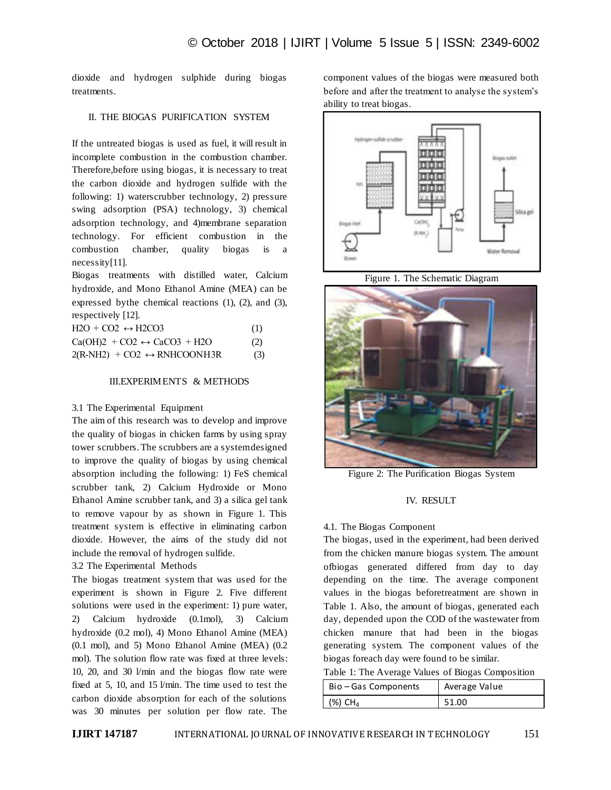dioxide and hydrogen sulphide during biogas treatments.

# II. THE BIOGAS PURIFICATION SYSTEM

If the untreated biogas is used as fuel, it will result in incomplete combustion in the combustion chamber. Therefore,before using biogas, it is necessary to treat the carbon dioxide and hydrogen sulfide with the following: 1) waterscrubber technology, 2) pressure swing adsorption (PSA) technology, 3) chemical adsorption technology, and 4)membrane separation technology. For efficient combustion in the combustion chamber, quality biogas is a necessity[11].

Biogas treatments with distilled water, Calcium hydroxide, and Mono Ethanol Amine (MEA) can be expressed bythe chemical reactions (1), (2), and (3), respectively [12].

| $H2O + CO2 \leftrightarrow H2CO3$           | (1) |
|---------------------------------------------|-----|
| $Ca(OH)2 + CO2 \leftrightarrow CaCO3 + H2O$ | (2) |
| $2(R-NH2) + CO2 \leftrightarrow RNHCOONH3R$ | (3) |

## III.EXPERIMENTS & METHODS

## 3.1 The Experimental Equipment

The aim of this research was to develop and improve the quality of biogas in chicken farms by using spray tower scrubbers. The scrubbers are a system designed to improve the quality of biogas by using chemical absorption including the following: 1) FeS chemical scrubber tank, 2) Calcium Hydroxide or Mono Ethanol Amine scrubber tank, and 3) a silica gel tank to remove vapour by as shown in Figure 1. This treatment system is effective in eliminating carbon dioxide. However, the aims of the study did not include the removal of hydrogen sulfide.

3.2 The Experimental Methods

The biogas treatment system that was used for the experiment is shown in Figure 2. Five different solutions were used in the experiment: 1) pure water, 2) Calcium hydroxide (0.1mol), 3) Calcium hydroxide (0.2 mol), 4) Mono Ethanol Amine (MEA) (0.1 mol), and 5) Mono Ethanol Amine (MEA) (0.2 mol). The solution flow rate was fixed at three levels: 10, 20, and 30 l/min and the biogas flow rate were fixed at 5, 10, and 15 l/min. The time used to test the carbon dioxide absorption for each of the solutions was 30 minutes per solution per flow rate. The

component values of the biogas were measured both before and after the treatment to analyse the system's ability to treat biogas.



Figure 1. The Schematic Diagram



Figure 2: The Purification Biogas System

## IV. RESULT

## 4.1. The Biogas Component

The biogas, used in the experiment, had been derived from the chicken manure biogas system. The amount ofbiogas generated differed from day to day depending on the time. The average component values in the biogas beforetreatment are shown in Table 1. Also, the amount of biogas, generated each day, depended upon the COD of the wastewater from chicken manure that had been in the biogas generating system. The component values of the biogas foreach day were found to be similar.

| Table 1: The Average Values of Biogas Composition |  |  |  |
|---------------------------------------------------|--|--|--|
|---------------------------------------------------|--|--|--|

| Bio-Gas Components    | Average Value |  |  |
|-----------------------|---------------|--|--|
| $(%)$ CH <sub>4</sub> | 51.00         |  |  |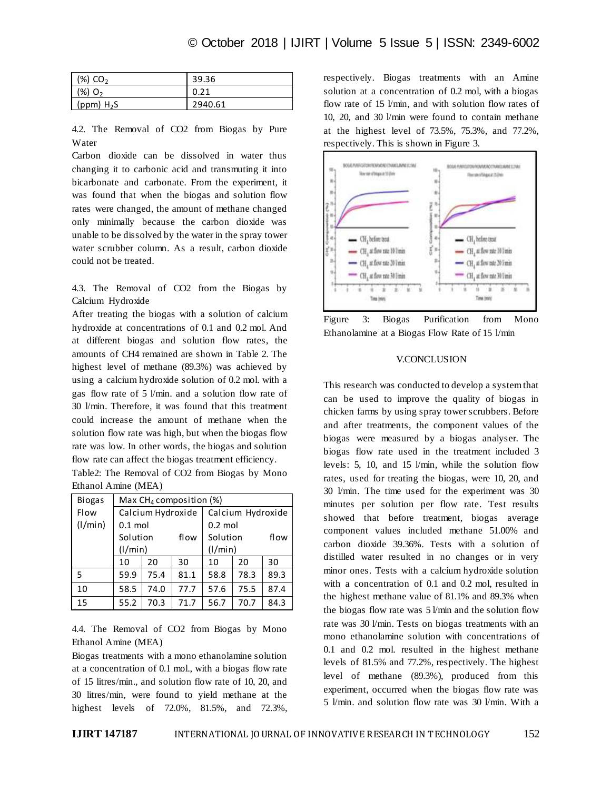| (%) CO <sub>2</sub>   | 39.36   |
|-----------------------|---------|
| $(96)$ O <sub>2</sub> | 0.21    |
| (ppm) $H_2S$          | 2940.61 |

4.2. The Removal of CO2 from Biogas by Pure Water

Carbon dioxide can be dissolved in water thus changing it to carbonic acid and transmuting it into bicarbonate and carbonate. From the experiment, it was found that when the biogas and solution flow rates were changed, the amount of methane changed only minimally because the carbon dioxide was unable to be dissolved by the water in the spray tower water scrubber column. As a result, carbon dioxide could not be treated.

4.3. The Removal of CO2 from the Biogas by Calcium Hydroxide

After treating the biogas with a solution of calcium hydroxide at concentrations of 0.1 and 0.2 mol. And at different biogas and solution flow rates, the amounts of CH4 remained are shown in Table 2. The highest level of methane (89.3%) was achieved by using a calcium hydroxide solution of 0.2 mol. with a gas flow rate of 5 l/min. and a solution flow rate of 30 l/min. Therefore, it was found that this treatment could increase the amount of methane when the solution flow rate was high, but when the biogas flow rate was low. In other words, the biogas and solution flow rate can affect the biogas treatment efficiency.

Table2: The Removal of CO2 from Biogas by Mono Ethanol Amine (MEA)

| <b>Biogas</b> | Max $CH_4$ composition (%) |      |      |                   |      |      |
|---------------|----------------------------|------|------|-------------------|------|------|
| Flow          | Calcium Hydroxide          |      |      | Calcium Hydroxide |      |      |
| (1/min)       | $0.1$ mol                  |      |      | $0.2$ mol         |      |      |
|               | Solution                   |      | flow | Solution          |      | flow |
|               | (1/min)                    |      |      | (1/min)           |      |      |
|               | 10                         | 20   | 30   | 10                | 20   | 30   |
| 5             | 59.9                       | 75.4 | 81.1 | 58.8              | 78.3 | 89.3 |
| 10            | 58.5                       | 74.0 | 77.7 | 57.6              | 75.5 | 87.4 |
| 15            | 55.2                       | 70.3 | 71.7 | 56.7              | 70.7 | 84.3 |

4.4. The Removal of CO2 from Biogas by Mono Ethanol Amine (MEA)

Biogas treatments with a mono ethanolamine solution at a concentration of 0.1 mol., with a biogas flow rate of 15 litres/min., and solution flow rate of 10, 20, and 30 litres/min, were found to yield methane at the highest levels of 72.0%, 81.5%, and 72.3%, respectively. Biogas treatments with an Amine solution at a concentration of 0.2 mol, with a biogas flow rate of 15  $l$ /min, and with solution flow rates of 10, 20, and 30 l/min were found to contain methane at the highest level of 73.5%, 75.3%, and 77.2%, respectively. This is shown in Figure 3.



Figure 3: Biogas Purification from Mono Ethanolamine at a Biogas Flow Rate of 15 l/min

#### V.CONCLUSION

This research was conducted to develop a system that can be used to improve the quality of biogas in chicken farms by using spray tower scrubbers. Before and after treatments, the component values of the biogas were measured by a biogas analyser. The biogas flow rate used in the treatment included 3 levels: 5, 10, and 15 l/min, while the solution flow rates, used for treating the biogas, were 10, 20, and 30 l/min. The time used for the experiment was 30 minutes per solution per flow rate. Test results showed that before treatment, biogas average component values included methane 51.00% and carbon dioxide 39.36%. Tests with a solution of distilled water resulted in no changes or in very minor ones. Tests with a calcium hydroxide solution with a concentration of 0.1 and 0.2 mol, resulted in the highest methane value of 81.1% and 89.3% when the biogas flow rate was  $5$  l/min and the solution flow rate was 30 l/min. Tests on biogas treatments with an mono ethanolamine solution with concentrations of 0.1 and 0.2 mol. resulted in the highest methane levels of 81.5% and 77.2%, respectively. The highest level of methane (89.3%), produced from this experiment, occurred when the biogas flow rate was 5 l/min. and solution flow rate was 30 l/min. With a